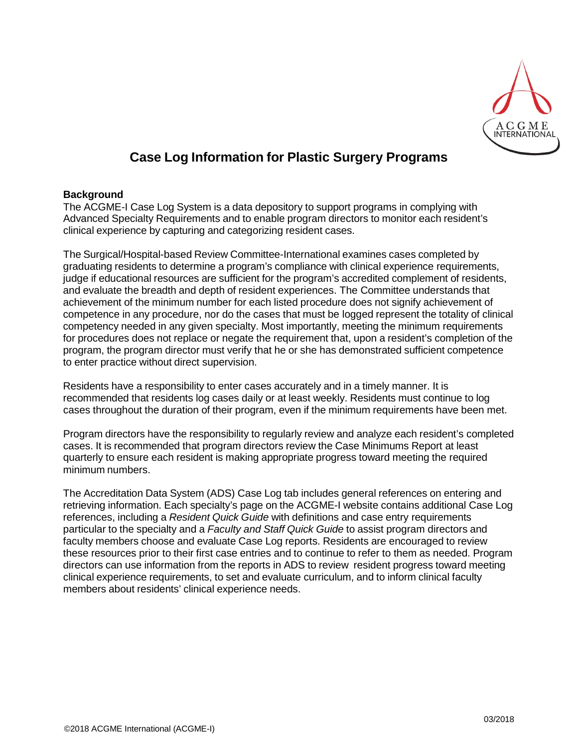

# **Case Log Information for Plastic Surgery Programs**

#### **Background**

The ACGME-I Case Log System is a data depository to support programs in complying with Advanced Specialty Requirements and to enable program directors to monitor each resident's clinical experience by capturing and categorizing resident cases.

The Surgical/Hospital-based Review Committee-International examines cases completed by graduating residents to determine a program's compliance with clinical experience requirements, judge if educational resources are sufficient for the program's accredited complement of residents, and evaluate the breadth and depth of resident experiences. The Committee understands that achievement of the minimum number for each listed procedure does not signify achievement of competence in any procedure, nor do the cases that must be logged represent the totality of clinical competency needed in any given specialty. Most importantly, meeting the minimum requirements for procedures does not replace or negate the requirement that, upon a resident's completion of the program, the program director must verify that he or she has demonstrated sufficient competence to enter practice without direct supervision.

Residents have a responsibility to enter cases accurately and in a timely manner. It is recommended that residents log cases daily or at least weekly. Residents must continue to log cases throughout the duration of their program, even if the minimum requirements have been met.

Program directors have the responsibility to regularly review and analyze each resident's completed cases. It is recommended that program directors review the Case Minimums Report at least quarterly to ensure each resident is making appropriate progress toward meeting the required minimum numbers.

The Accreditation Data System (ADS) Case Log tab includes general references on entering and retrieving information. Each specialty's page on the ACGME-I website contains additional Case Log references, including a *Resident Quick Guide* with definitions and case entry requirements particular to the specialty and a *Faculty and Staff Quick Guide* to assist program directors and faculty members choose and evaluate Case Log reports. Residents are encouraged to review these resources prior to their first case entries and to continue to refer to them as needed. Program directors can use information from the reports in ADS to review resident progress toward meeting clinical experience requirements, to set and evaluate curriculum, and to inform clinical faculty members about residents' clinical experience needs.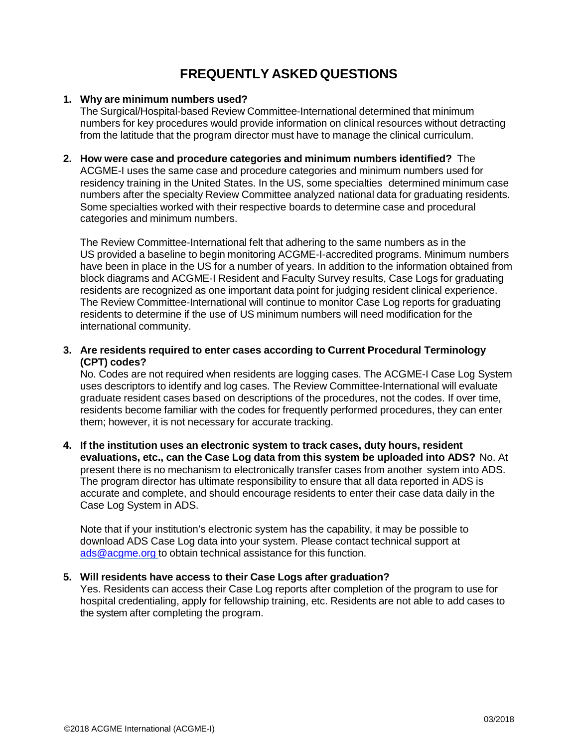## **FREQUENTLY ASKED QUESTIONS**

## **1. Why are minimum numbers used?**

The Surgical/Hospital-based Review Committee-International determined that minimum numbers for key procedures would provide information on clinical resources without detracting from the latitude that the program director must have to manage the clinical curriculum.

**2. How were case and procedure categories and minimum numbers identified?** The ACGME-I uses the same case and procedure categories and minimum numbers used for residency training in the United States. In the US, some specialties determined minimum case numbers after the specialty Review Committee analyzed national data for graduating residents. Some specialties worked with their respective boards to determine case and procedural categories and minimum numbers.

The Review Committee-International felt that adhering to the same numbers as in the US provided a baseline to begin monitoring ACGME-I-accredited programs. Minimum numbers have been in place in the US for a number of years. In addition to the information obtained from block diagrams and ACGME-I Resident and Faculty Survey results, Case Logs for graduating residents are recognized as one important data point for judging resident clinical experience. The Review Committee-International will continue to monitor Case Log reports for graduating residents to determine if the use of US minimum numbers will need modification for the international community.

**3. Are residents required to enter cases according to Current Procedural Terminology (CPT) codes?**

No. Codes are not required when residents are logging cases. The ACGME-I Case Log System uses descriptors to identify and log cases. The Review Committee-International will evaluate graduate resident cases based on descriptions of the procedures, not the codes. If over time, residents become familiar with the codes for frequently performed procedures, they can enter them; however, it is not necessary for accurate tracking.

**4. If the institution uses an electronic system to track cases, duty hours, resident evaluations, etc., can the Case Log data from this system be uploaded into ADS?** No. At present there is no mechanism to electronically transfer cases from another system into ADS. The program director has ultimate responsibility to ensure that all data reported in ADS is accurate and complete, and should encourage residents to enter their case data daily in the Case Log System in ADS.

Note that if your institution's electronic system has the capability, it may be possible to download ADS Case Log data into your system. Please contact technical support at [ads@acgme.org](mailto:ads@acgme.org) to obtain technical assistance for this function.

## **5. Will residents have access to their Case Logs after graduation?**

Yes. Residents can access their Case Log reports after completion of the program to use for hospital credentialing, apply for fellowship training, etc. Residents are not able to add cases to the system after completing the program.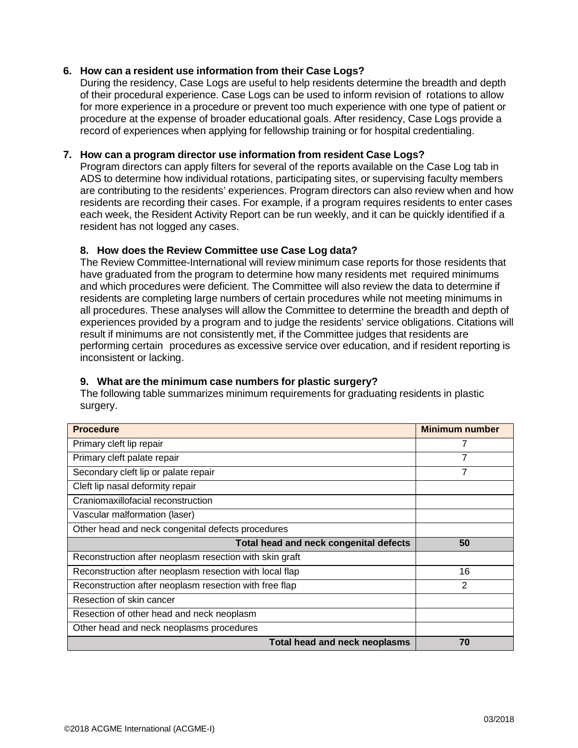### **6. How can a resident use information from their Case Logs?**

During the residency, Case Logs are useful to help residents determine the breadth and depth of their procedural experience. Case Logs can be used to inform revision of rotations to allow for more experience in a procedure or prevent too much experience with one type of patient or procedure at the expense of broader educational goals. After residency, Case Logs provide a record of experiences when applying for fellowship training or for hospital credentialing.

#### **7. How can a program director use information from resident Case Logs?**

Program directors can apply filters for several of the reports available on the Case Log tab in ADS to determine how individual rotations, participating sites, or supervising faculty members are contributing to the residents' experiences. Program directors can also review when and how residents are recording their cases. For example, if a program requires residents to enter cases each week, the Resident Activity Report can be run weekly, and it can be quickly identified if a resident has not logged any cases.

#### **8. How does the Review Committee use Case Log data?**

The Review Committee-International will review minimum case reports for those residents that have graduated from the program to determine how many residents met required minimums and which procedures were deficient. The Committee will also review the data to determine if residents are completing large numbers of certain procedures while not meeting minimums in all procedures. These analyses will allow the Committee to determine the breadth and depth of experiences provided by a program and to judge the residents' service obligations. Citations will result if minimums are not consistently met, if the Committee judges that residents are performing certain procedures as excessive service over education, and if resident reporting is inconsistent or lacking.

## **9. What are the minimum case numbers for plastic surgery?**

The following table summarizes minimum requirements for graduating residents in plastic surgery.

| <b>Procedure</b>                                        | <b>Minimum number</b> |
|---------------------------------------------------------|-----------------------|
| Primary cleft lip repair                                | 7                     |
| Primary cleft palate repair                             | 7                     |
| Secondary cleft lip or palate repair                    | 7                     |
| Cleft lip nasal deformity repair                        |                       |
| Craniomaxillofacial reconstruction                      |                       |
| Vascular malformation (laser)                           |                       |
| Other head and neck congenital defects procedures       |                       |
| Total head and neck congenital defects                  | 50                    |
| Reconstruction after neoplasm resection with skin graft |                       |
| Reconstruction after neoplasm resection with local flap | 16                    |
| Reconstruction after neoplasm resection with free flap  | $\mathbf{2}$          |
| Resection of skin cancer                                |                       |
| Resection of other head and neck neoplasm               |                       |
| Other head and neck neoplasms procedures                |                       |
| <b>Total head and neck neoplasms</b>                    | 70                    |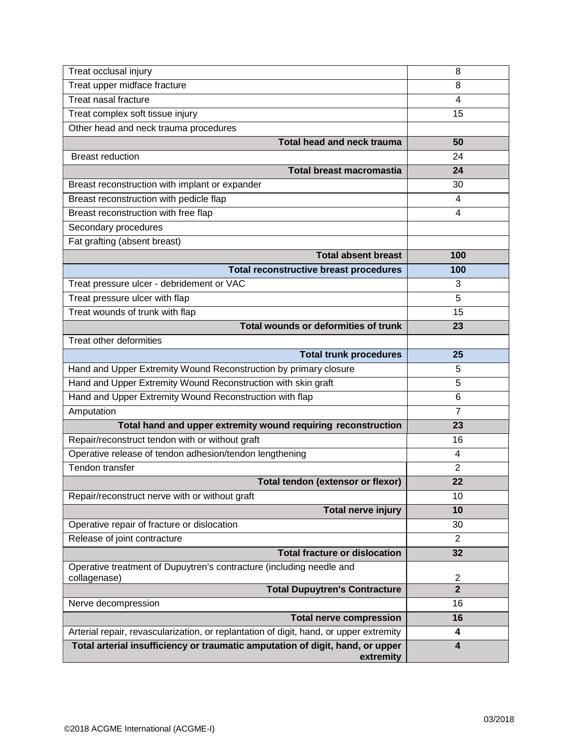| Treat occlusal injury                                                                  | 8                                         |
|----------------------------------------------------------------------------------------|-------------------------------------------|
| Treat upper midface fracture                                                           | 8                                         |
| Treat nasal fracture                                                                   | 4                                         |
| Treat complex soft tissue injury                                                       | 15                                        |
| Other head and neck trauma procedures                                                  |                                           |
| Total head and neck trauma                                                             | 50                                        |
| <b>Breast reduction</b>                                                                | 24                                        |
| <b>Total breast macromastia</b>                                                        | 24                                        |
| Breast reconstruction with implant or expander                                         | 30                                        |
| Breast reconstruction with pedicle flap                                                | 4                                         |
| Breast reconstruction with free flap                                                   | 4                                         |
| Secondary procedures                                                                   |                                           |
| Fat grafting (absent breast)                                                           |                                           |
| <b>Total absent breast</b>                                                             | 100                                       |
| <b>Total reconstructive breast procedures</b>                                          | 100                                       |
| Treat pressure ulcer - debridement or VAC                                              | 3                                         |
| Treat pressure ulcer with flap                                                         | 5                                         |
| Treat wounds of trunk with flap                                                        | 15                                        |
| Total wounds or deformities of trunk                                                   | 23                                        |
| Treat other deformities                                                                |                                           |
| <b>Total trunk procedures</b>                                                          | 25                                        |
| Hand and Upper Extremity Wound Reconstruction by primary closure                       | 5                                         |
| Hand and Upper Extremity Wound Reconstruction with skin graft                          | 5                                         |
| Hand and Upper Extremity Wound Reconstruction with flap                                | 6                                         |
| Amputation                                                                             | 7                                         |
| Total hand and upper extremity wound requiring reconstruction                          | 23                                        |
| Repair/reconstruct tendon with or without graft                                        | 16                                        |
| Operative release of tendon adhesion/tendon lengthening                                | 4                                         |
| Tendon transfer                                                                        | $\overline{2}$                            |
| Total tendon (extensor or flexor)                                                      | 22                                        |
| Repair/reconstruct nerve with or without graft                                         | 10                                        |
| <b>Total nerve injury</b>                                                              | 10                                        |
| Operative repair of fracture or dislocation                                            | 30                                        |
| Release of joint contracture                                                           | $\overline{2}$                            |
| <b>Total fracture or dislocation</b>                                                   | 32                                        |
| Operative treatment of Dupuytren's contracture (including needle and                   |                                           |
| collagenase)<br><b>Total Dupuytren's Contracture</b>                                   | $\overline{\mathbf{c}}$<br>$\overline{2}$ |
| Nerve decompression                                                                    | 16                                        |
| <b>Total nerve compression</b>                                                         | 16                                        |
| Arterial repair, revascularization, or replantation of digit, hand, or upper extremity | 4                                         |
| Total arterial insufficiency or traumatic amputation of digit, hand, or upper          | $\overline{\mathbf{4}}$                   |
| extremity                                                                              |                                           |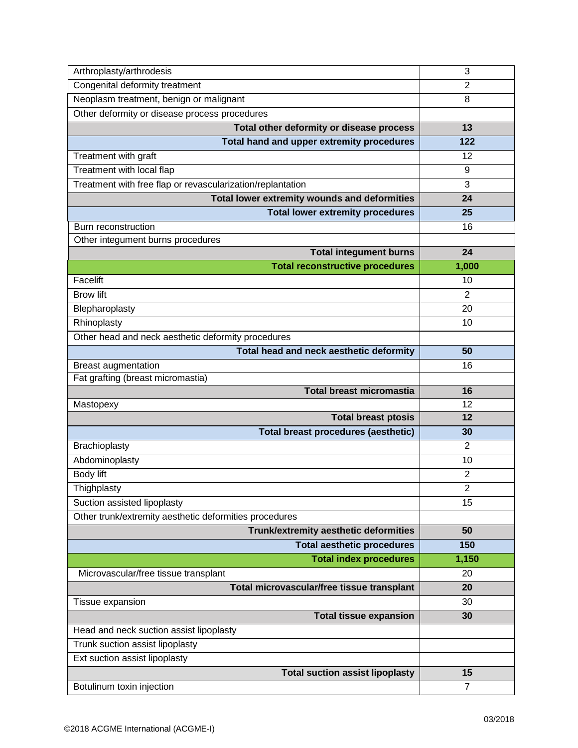| Arthroplasty/arthrodesis                                   | 3              |
|------------------------------------------------------------|----------------|
| Congenital deformity treatment                             | $\overline{2}$ |
| Neoplasm treatment, benign or malignant                    | 8              |
| Other deformity or disease process procedures              |                |
| Total other deformity or disease process                   | 13             |
| Total hand and upper extremity procedures                  | 122            |
| Treatment with graft                                       | 12             |
| Treatment with local flap                                  | 9              |
| Treatment with free flap or revascularization/replantation | 3              |
| Total lower extremity wounds and deformities               | 24             |
| <b>Total lower extremity procedures</b>                    | 25             |
| Burn reconstruction                                        | 16             |
| Other integument burns procedures                          |                |
| <b>Total integument burns</b>                              | 24             |
| <b>Total reconstructive procedures</b>                     | 1,000          |
| Facelift                                                   | 10             |
| <b>Brow lift</b>                                           | $\overline{2}$ |
| Blepharoplasty                                             | 20             |
| Rhinoplasty                                                | 10             |
| Other head and neck aesthetic deformity procedures         |                |
| Total head and neck aesthetic deformity                    | 50             |
| <b>Breast augmentation</b>                                 | 16             |
| Fat grafting (breast micromastia)                          |                |
| <b>Total breast micromastia</b>                            | 16             |
| Mastopexy                                                  | 12             |
| <b>Total breast ptosis</b>                                 | 12             |
| <b>Total breast procedures (aesthetic)</b>                 | 30             |
| Brachioplasty                                              | $\overline{2}$ |
| Abdominoplasty                                             | 10             |
| Body lift                                                  | $\overline{c}$ |
| Thighplasty                                                | $\overline{2}$ |
| Suction assisted lipoplasty                                | 15             |
| Other trunk/extremity aesthetic deformities procedures     |                |
| Trunk/extremity aesthetic deformities                      | 50             |
| <b>Total aesthetic procedures</b>                          | 150            |
| <b>Total index procedures</b>                              | 1,150          |
| Microvascular/free tissue transplant                       | 20             |
| Total microvascular/free tissue transplant                 | 20             |
| Tissue expansion                                           | 30             |
| <b>Total tissue expansion</b>                              | 30             |
| Head and neck suction assist lipoplasty                    |                |
| Trunk suction assist lipoplasty                            |                |
| Ext suction assist lipoplasty                              |                |
| <b>Total suction assist lipoplasty</b>                     | 15             |
| Botulinum toxin injection                                  | $\overline{7}$ |